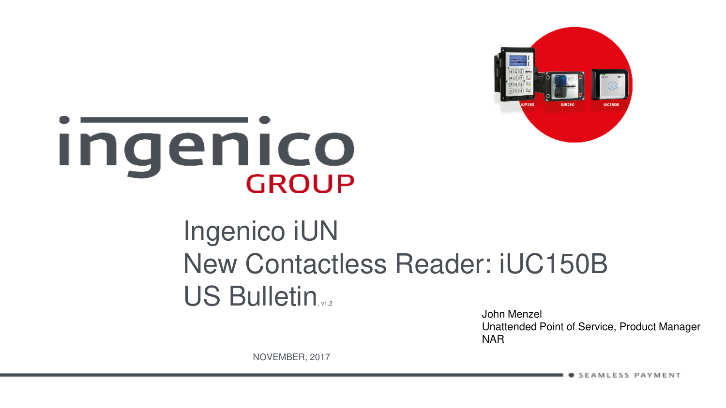

# Ingenico **GROUP**

# Ingenico iUN New Contactless Reader: iUC150B US Bulletin

John Menzel Unattended Point of Service, Product Manager NAR

NOVEMBER, 2017

v m e nit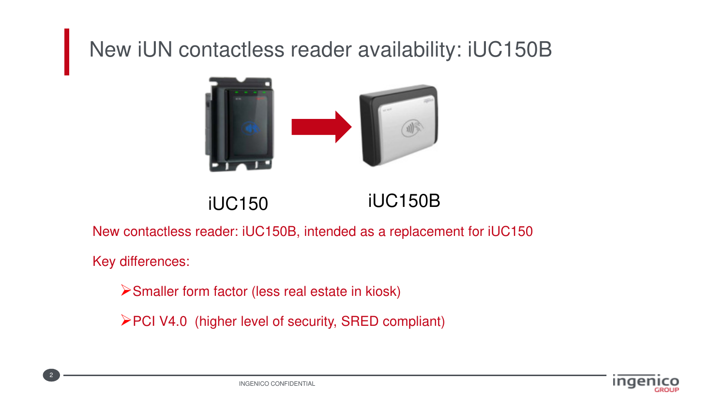### New iUN contactless reader availability: iUC150B



iUC150 iUC150B

New contactless reader: iUC150B, intended as a replacement for iUC150

Key differences:

2

Smaller form factor (less real estate in kiosk)

PCI V4.0 (higher level of security, SRED compliant)

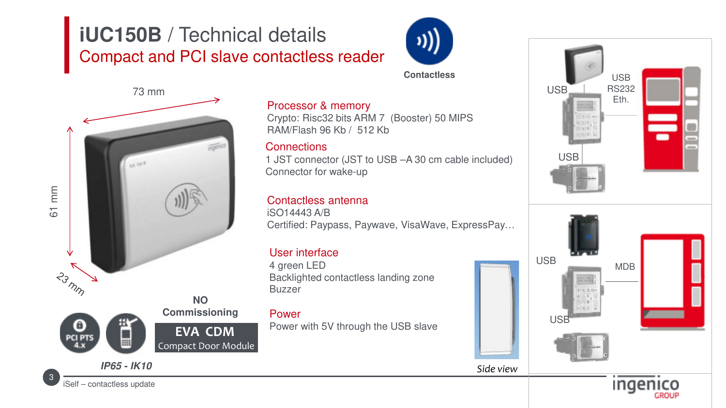### **iUC150B** / Technical details Compact and PCI slave contactless reader



**Contactless**

### 73 mm voenic 61 mm 23 mm **NO Commissioning** 0 **EVA CDM PCI PTS** Compact Door Module **IP65 - IK10**

### Processor & memory

Crypto: Risc32 bits ARM 7 (Booster) 50 MIPS RAM/Flash 96 Kb / 512 Kb

### **Connections**

1 JST connector (JST to USB –A 30 cm cable included) Connector for wake-up

### Contactless antenna

iSO14443 A/B Certified: Paypass, Paywave, VisaWave, ExpressPay…

### User interface

4 green LED Backlighted contactless landing zone Buzzer

#### Power

Power with 5V through the USB slave



3

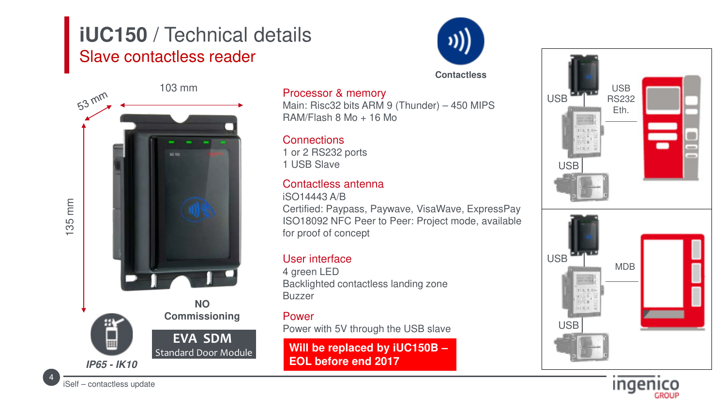### **iUC150** / Technical details Slave contactless reader



**Contactless**



### Processor & memory

Main: Risc32 bits ARM 9 (Thunder) – 450 MIPS RAM/Flash 8 Mo + 16 Mo

#### **Connections**

1 or 2 RS232 ports 1 USB Slave

### Contactless antenna

iSO14443 A/B Certified: Paypass, Paywave, VisaWave, ExpressPay ISO18092 NFC Peer to Peer: Project mode, available for proof of concept

#### User interface

4 green LED Backlighted contactless landing zone Buzzer

#### Power

Power with 5V through the USB slave

**Will be replaced by iUC150B – EOL before end 2017**





4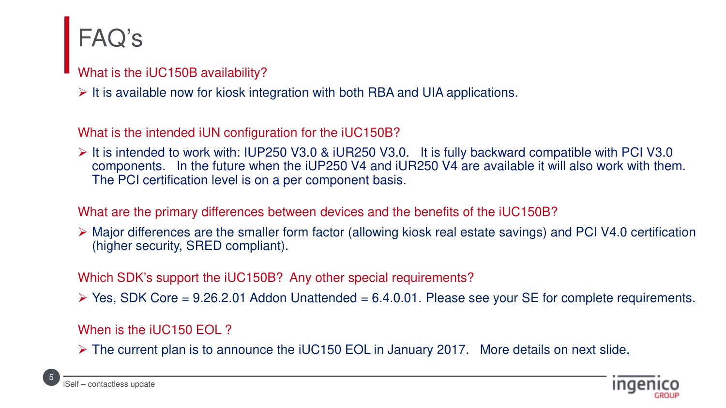## FAQ's

- What is the iUC150B availability?
- $\triangleright$  It is available now for kiosk integration with both RBA and UIA applications.

What is the intended iUN configuration for the iUC150B?

 $\triangleright$  It is intended to work with: IUP250 V3.0 & iUR250 V3.0. It is fully backward compatible with PCI V3.0 components. In the future when the iUP250 V4 and iUR250 V4 are available it will also work with them. The PCI certification level is on a per component basis.

What are the primary differences between devices and the benefits of the iUC150B?

 Major differences are the smaller form factor (allowing kiosk real estate savings) and PCI V4.0 certification (higher security, SRED compliant).

Which SDK's support the iUC150B? Any other special requirements?

 $\triangleright$  Yes, SDK Core = 9.26.2.01 Addon Unattended = 6.4.0.01. Please see your SE for complete requirements.

When is the iUC150 EOL ?

The current plan is to announce the iUC150 EOL in January 2017. More details on next slide.